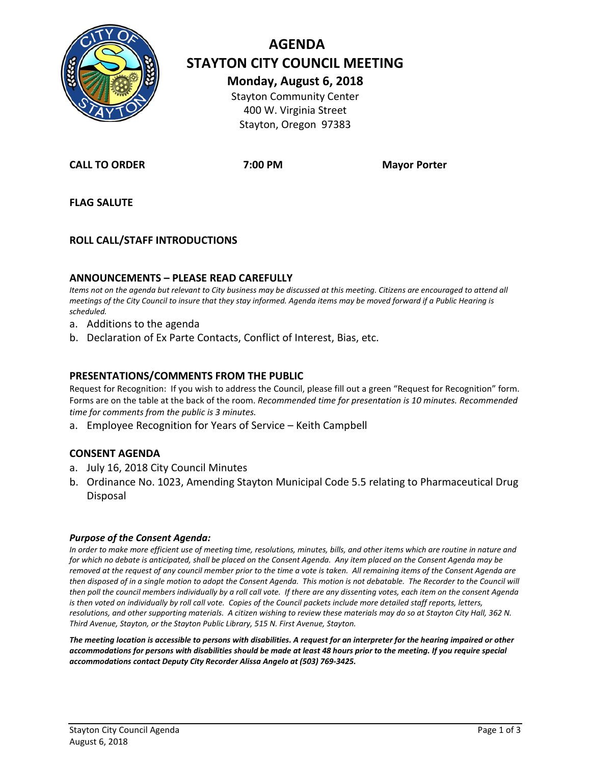

# **AGENDA STAYTON CITY COUNCIL MEETING Monday, August 6, 2018**

Stayton Community Center 400 W. Virginia Street Stayton, Oregon 97383

**CALL TO ORDER 7:00 PM Mayor Porter**

**FLAG SALUTE**

### **ROLL CALL/STAFF INTRODUCTIONS**

### **ANNOUNCEMENTS – PLEASE READ CAREFULLY**

*Items not on the agenda but relevant to City business may be discussed at this meeting. Citizens are encouraged to attend all meetings of the City Council to insure that they stay informed. Agenda items may be moved forward if a Public Hearing is scheduled.*

- a. Additions to the agenda
- b. Declaration of Ex Parte Contacts, Conflict of Interest, Bias, etc.

### **PRESENTATIONS/COMMENTS FROM THE PUBLIC**

Request for Recognition: If you wish to address the Council, please fill out a green "Request for Recognition" form. Forms are on the table at the back of the room. *Recommended time for presentation is 10 minutes. Recommended time for comments from the public is 3 minutes.*

a. Employee Recognition for Years of Service – Keith Campbell

### **CONSENT AGENDA**

- a. July 16, 2018 City Council Minutes
- b. Ordinance No. 1023, Amending Stayton Municipal Code 5.5 relating to Pharmaceutical Drug Disposal

#### *Purpose of the Consent Agenda:*

*In order to make more efficient use of meeting time, resolutions, minutes, bills, and other items which are routine in nature and for which no debate is anticipated, shall be placed on the Consent Agenda. Any item placed on the Consent Agenda may be removed at the request of any council member prior to the time a vote is taken. All remaining items of the Consent Agenda are then disposed of in a single motion to adopt the Consent Agenda. This motion is not debatable. The Recorder to the Council will then poll the council members individually by a roll call vote. If there are any dissenting votes, each item on the consent Agenda is then voted on individually by roll call vote. Copies of the Council packets include more detailed staff reports, letters, resolutions, and other supporting materials. A citizen wishing to review these materials may do so at Stayton City Hall, 362 N. Third Avenue, Stayton, or the Stayton Public Library, 515 N. First Avenue, Stayton.*

*The meeting location is accessible to persons with disabilities. A request for an interpreter for the hearing impaired or other accommodations for persons with disabilities should be made at least 48 hours prior to the meeting. If you require special accommodations contact Deputy City Recorder Alissa Angelo at (503) 769-3425.*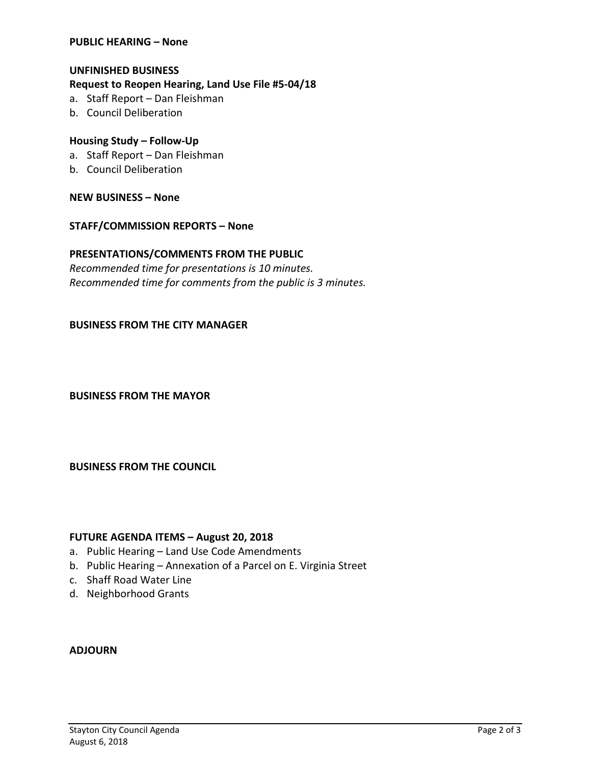### **PUBLIC HEARING – None**

### **UNFINISHED BUSINESS**

### **Request to Reopen Hearing, Land Use File #5-04/18**

- a. Staff Report Dan Fleishman
- b. Council Deliberation

### **Housing Study – Follow-Up**

- a. Staff Report Dan Fleishman
- b. Council Deliberation

**NEW BUSINESS – None** 

### **STAFF/COMMISSION REPORTS – None**

### **PRESENTATIONS/COMMENTS FROM THE PUBLIC**

*Recommended time for presentations is 10 minutes. Recommended time for comments from the public is 3 minutes.*

### **BUSINESS FROM THE CITY MANAGER**

**BUSINESS FROM THE MAYOR**

**BUSINESS FROM THE COUNCIL**

### **FUTURE AGENDA ITEMS – August 20, 2018**

- a. Public Hearing Land Use Code Amendments
- b. Public Hearing Annexation of a Parcel on E. Virginia Street
- c. Shaff Road Water Line
- d. Neighborhood Grants

### **ADJOURN**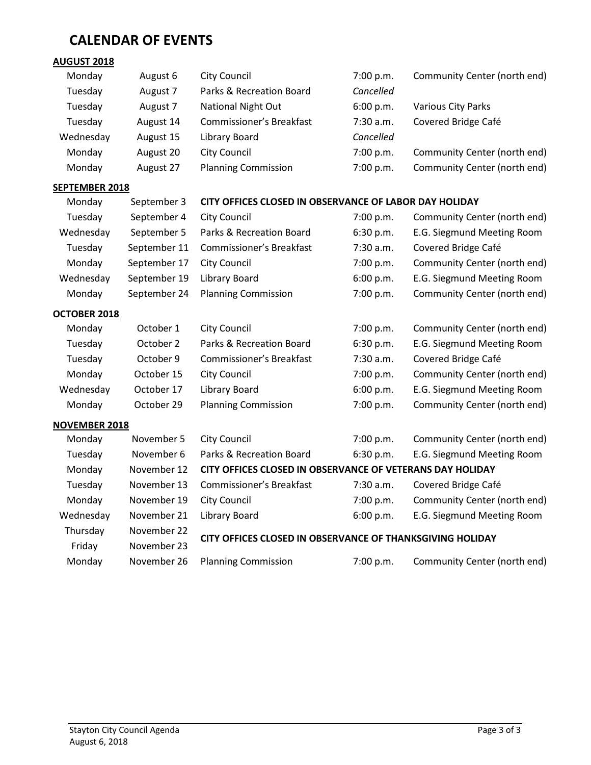# **CALENDAR OF EVENTS**

# **AUGUST 2018**

| Monday    | August 6  | City Council               | 7:00 p.m.   | Community Center (north end) |
|-----------|-----------|----------------------------|-------------|------------------------------|
| Tuesday   | August 7  | Parks & Recreation Board   | Cancelled   |                              |
| Tuesday   | August 7  | <b>National Night Out</b>  | 6:00 p.m.   | Various City Parks           |
| Tuesday   | August 14 | Commissioner's Breakfast   | $7:30$ a.m. | Covered Bridge Café          |
| Wednesday | August 15 | Library Board              | Cancelled   |                              |
| Monday    | August 20 | <b>City Council</b>        | 7:00 p.m.   | Community Center (north end) |
| Monday    | August 27 | <b>Planning Commission</b> | 7:00 p.m.   | Community Center (north end) |

### **SEPTEMBER 2018**

## Monday September 3 **CITY OFFICES CLOSED IN OBSERVANCE OF LABOR DAY HOLIDAY**

| Tuesday             | September 4  | <b>City Council</b>        | 7:00 p.m. | Community Center (north end) |
|---------------------|--------------|----------------------------|-----------|------------------------------|
| Wednesday           | September 5  | Parks & Recreation Board   | 6:30 p.m. | E.G. Siegmund Meeting Room   |
| Tuesday             | September 11 | Commissioner's Breakfast   | 7:30 a.m. | Covered Bridge Café          |
| Monday              | September 17 | City Council               | 7:00 p.m. | Community Center (north end) |
| Wednesday           | September 19 | Library Board              | 6:00 p.m. | E.G. Siegmund Meeting Room   |
| Monday              | September 24 | <b>Planning Commission</b> | 7:00 p.m. | Community Center (north end) |
| <b>OCTOBER 2018</b> |              |                            |           |                              |
| Monday              | October 1    | City Council               | 7:00 p.m. | Community Center (north end) |
| Tuesday             | October 2    | Parks & Recreation Board   | 6:30 p.m. | E.G. Siegmund Meeting Room   |
| Tuesday             | October 9    | Commissioner's Breakfast   | 7:30 a.m. | Covered Bridge Café          |
| Monday              | October 15   | <b>City Council</b>        | 7:00 p.m. | Community Center (north end) |
| Wednesday           | October 17   | Library Board              | 6:00 p.m. | E.G. Siegmund Meeting Room   |
| Monday              | October 29   | <b>Planning Commission</b> | 7:00 p.m. | Community Center (north end) |

### **NOVEMBER 2018**

| Monday    | November 5  | <b>City Council</b>                                       | 7:00 p.m.   | Community Center (north end) |
|-----------|-------------|-----------------------------------------------------------|-------------|------------------------------|
| Tuesday   | November 6  | Parks & Recreation Board                                  | 6:30 p.m.   | E.G. Siegmund Meeting Room   |
| Monday    | November 12 | CITY OFFICES CLOSED IN OBSERVANCE OF VETERANS DAY HOLIDAY |             |                              |
| Tuesday   | November 13 | Commissioner's Breakfast                                  | $7:30$ a.m. | Covered Bridge Café          |
| Monday    | November 19 | City Council                                              | 7:00 p.m.   | Community Center (north end) |
| Wednesday | November 21 | Library Board                                             | 6:00 p.m.   | E.G. Siegmund Meeting Room   |
| Thursday  | November 22 | CITY OFFICES CLOSED IN OBSERVANCE OF THANKSGIVING HOLIDAY |             |                              |
| Friday    | November 23 |                                                           |             |                              |
| Monday    | November 26 | <b>Planning Commission</b>                                | 7:00 p.m.   | Community Center (north end) |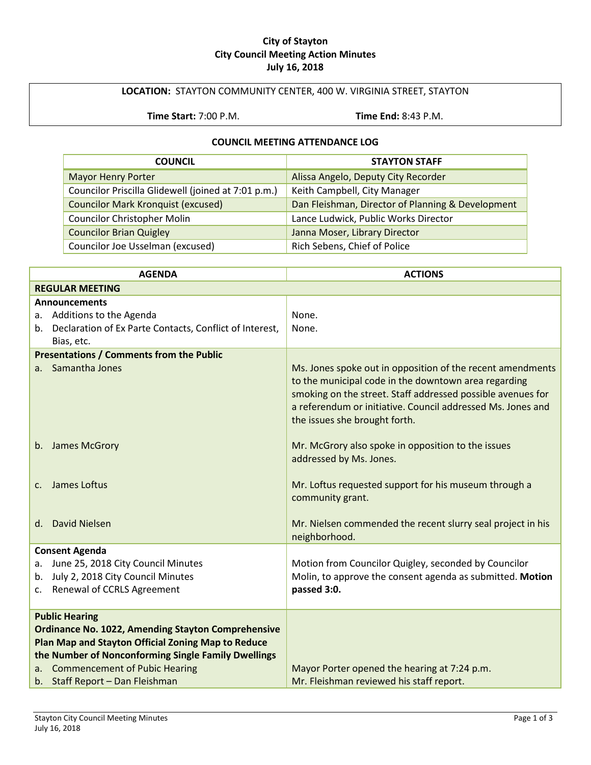### **City of Stayton City Council Meeting Action Minutes July 16, 2018**

## **LOCATION:** STAYTON COMMUNITY CENTER, 400 W. VIRGINIA STREET, STAYTON

**Time Start:** 7:00 P.M. **Time End:** 8:43 P.M.

### **COUNCIL MEETING ATTENDANCE LOG**

| <b>COUNCIL</b>                                      | <b>STAYTON STAFF</b>                              |
|-----------------------------------------------------|---------------------------------------------------|
| <b>Mayor Henry Porter</b>                           | Alissa Angelo, Deputy City Recorder               |
| Councilor Priscilla Glidewell (joined at 7:01 p.m.) | Keith Campbell, City Manager                      |
| <b>Councilor Mark Kronquist (excused)</b>           | Dan Fleishman, Director of Planning & Development |
| <b>Councilor Christopher Molin</b>                  | Lance Ludwick, Public Works Director              |
| <b>Councilor Brian Quigley</b>                      | Janna Moser, Library Director                     |
| Councilor Joe Usselman (excused)                    | Rich Sebens, Chief of Police                      |

| <b>AGENDA</b>                                              | <b>ACTIONS</b>                                                                                                                                                                                                                                                                    |
|------------------------------------------------------------|-----------------------------------------------------------------------------------------------------------------------------------------------------------------------------------------------------------------------------------------------------------------------------------|
| <b>REGULAR MEETING</b>                                     |                                                                                                                                                                                                                                                                                   |
| <b>Announcements</b>                                       |                                                                                                                                                                                                                                                                                   |
| a. Additions to the Agenda                                 | None.                                                                                                                                                                                                                                                                             |
| b. Declaration of Ex Parte Contacts, Conflict of Interest, | None.                                                                                                                                                                                                                                                                             |
| Bias, etc.                                                 |                                                                                                                                                                                                                                                                                   |
| <b>Presentations / Comments from the Public</b>            |                                                                                                                                                                                                                                                                                   |
| a. Samantha Jones                                          | Ms. Jones spoke out in opposition of the recent amendments<br>to the municipal code in the downtown area regarding<br>smoking on the street. Staff addressed possible avenues for<br>a referendum or initiative. Council addressed Ms. Jones and<br>the issues she brought forth. |
| b. James McGrory                                           | Mr. McGrory also spoke in opposition to the issues<br>addressed by Ms. Jones.                                                                                                                                                                                                     |
| James Loftus<br>C <sub>1</sub>                             | Mr. Loftus requested support for his museum through a<br>community grant.                                                                                                                                                                                                         |
| d. David Nielsen                                           | Mr. Nielsen commended the recent slurry seal project in his<br>neighborhood.                                                                                                                                                                                                      |
| <b>Consent Agenda</b>                                      |                                                                                                                                                                                                                                                                                   |
| June 25, 2018 City Council Minutes<br>a.                   | Motion from Councilor Quigley, seconded by Councilor                                                                                                                                                                                                                              |
| July 2, 2018 City Council Minutes<br>b.                    | Molin, to approve the consent agenda as submitted. Motion                                                                                                                                                                                                                         |
| Renewal of CCRLS Agreement<br>C.                           | passed 3:0.                                                                                                                                                                                                                                                                       |
| <b>Public Hearing</b>                                      |                                                                                                                                                                                                                                                                                   |
| <b>Ordinance No. 1022, Amending Stayton Comprehensive</b>  |                                                                                                                                                                                                                                                                                   |
| Plan Map and Stayton Official Zoning Map to Reduce         |                                                                                                                                                                                                                                                                                   |
| the Number of Nonconforming Single Family Dwellings        |                                                                                                                                                                                                                                                                                   |
| a. Commencement of Pubic Hearing                           | Mayor Porter opened the hearing at 7:24 p.m.                                                                                                                                                                                                                                      |
| b. Staff Report - Dan Fleishman                            | Mr. Fleishman reviewed his staff report.                                                                                                                                                                                                                                          |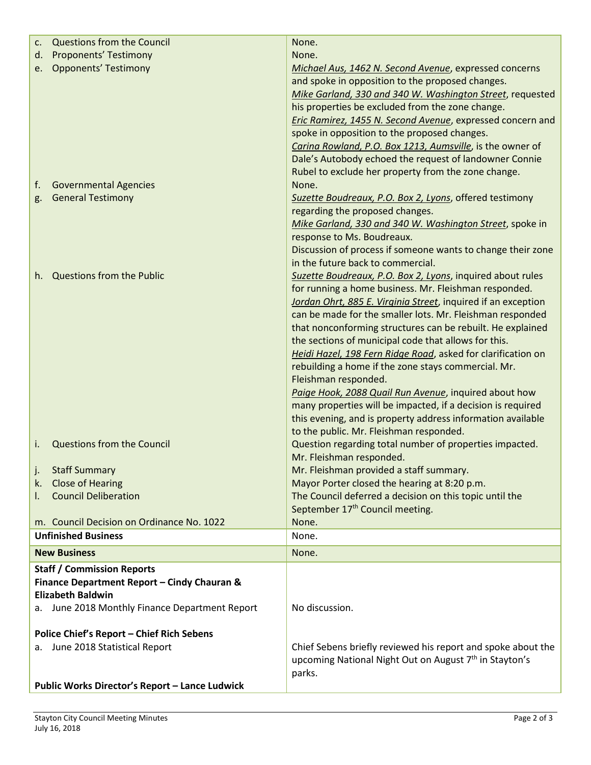| c.       | <b>Questions from the Council</b>                        | None.                                                                                                                              |
|----------|----------------------------------------------------------|------------------------------------------------------------------------------------------------------------------------------------|
| d.       | Proponents' Testimony                                    | None.                                                                                                                              |
| e.       | <b>Opponents' Testimony</b>                              | Michael Aus, 1462 N. Second Avenue, expressed concerns                                                                             |
|          |                                                          | and spoke in opposition to the proposed changes.                                                                                   |
|          |                                                          | Mike Garland, 330 and 340 W. Washington Street, requested                                                                          |
|          |                                                          | his properties be excluded from the zone change.                                                                                   |
|          |                                                          | <b>Eric Ramirez, 1455 N. Second Avenue, expressed concern and</b>                                                                  |
|          |                                                          | spoke in opposition to the proposed changes.                                                                                       |
|          |                                                          | Carina Rowland, P.O. Box 1213, Aumsville, is the owner of                                                                          |
|          |                                                          | Dale's Autobody echoed the request of landowner Connie                                                                             |
|          |                                                          | Rubel to exclude her property from the zone change.                                                                                |
| f.       | <b>Governmental Agencies</b><br><b>General Testimony</b> | None.                                                                                                                              |
| g.       |                                                          | Suzette Boudreaux, P.O. Box 2, Lyons, offered testimony<br>regarding the proposed changes.                                         |
|          |                                                          | Mike Garland, 330 and 340 W. Washington Street, spoke in                                                                           |
|          |                                                          | response to Ms. Boudreaux.                                                                                                         |
|          |                                                          | Discussion of process if someone wants to change their zone                                                                        |
|          |                                                          | in the future back to commercial.                                                                                                  |
| h.       | Questions from the Public                                | Suzette Boudreaux, P.O. Box 2, Lyons, inquired about rules                                                                         |
|          |                                                          | for running a home business. Mr. Fleishman responded.                                                                              |
|          |                                                          | Jordan Ohrt, 885 E. Virginia Street, inquired if an exception                                                                      |
|          |                                                          | can be made for the smaller lots. Mr. Fleishman responded                                                                          |
|          |                                                          | that nonconforming structures can be rebuilt. He explained                                                                         |
|          |                                                          | the sections of municipal code that allows for this.                                                                               |
|          |                                                          | Heidi Hazel, 198 Fern Ridge Road, asked for clarification on                                                                       |
|          |                                                          | rebuilding a home if the zone stays commercial. Mr.                                                                                |
|          |                                                          | Fleishman responded.                                                                                                               |
|          |                                                          | Paige Hook, 2088 Quail Run Avenue, inquired about how                                                                              |
|          |                                                          | many properties will be impacted, if a decision is required                                                                        |
|          |                                                          | this evening, and is property address information available                                                                        |
|          | <b>Questions from the Council</b>                        | to the public. Mr. Fleishman responded.<br>Question regarding total number of properties impacted.                                 |
| i.       |                                                          | Mr. Fleishman responded.                                                                                                           |
|          | <b>Staff Summary</b>                                     | Mr. Fleishman provided a staff summary.                                                                                            |
| J.<br>k. | <b>Close of Hearing</b>                                  | Mayor Porter closed the hearing at 8:20 p.m.                                                                                       |
| ı.       | <b>Council Deliberation</b>                              | The Council deferred a decision on this topic until the                                                                            |
|          |                                                          | September 17 <sup>th</sup> Council meeting.                                                                                        |
|          | m. Council Decision on Ordinance No. 1022                | None.                                                                                                                              |
|          | <b>Unfinished Business</b>                               | None.                                                                                                                              |
|          | <b>New Business</b>                                      | None.                                                                                                                              |
|          | <b>Staff / Commission Reports</b>                        |                                                                                                                                    |
|          | Finance Department Report - Cindy Chauran &              |                                                                                                                                    |
|          | <b>Elizabeth Baldwin</b>                                 |                                                                                                                                    |
|          | a. June 2018 Monthly Finance Department Report           | No discussion.                                                                                                                     |
|          |                                                          |                                                                                                                                    |
|          | <b>Police Chief's Report - Chief Rich Sebens</b>         |                                                                                                                                    |
|          | a. June 2018 Statistical Report                          | Chief Sebens briefly reviewed his report and spoke about the<br>upcoming National Night Out on August 7 <sup>th</sup> in Stayton's |
|          |                                                          | parks.                                                                                                                             |
|          | Public Works Director's Report - Lance Ludwick           |                                                                                                                                    |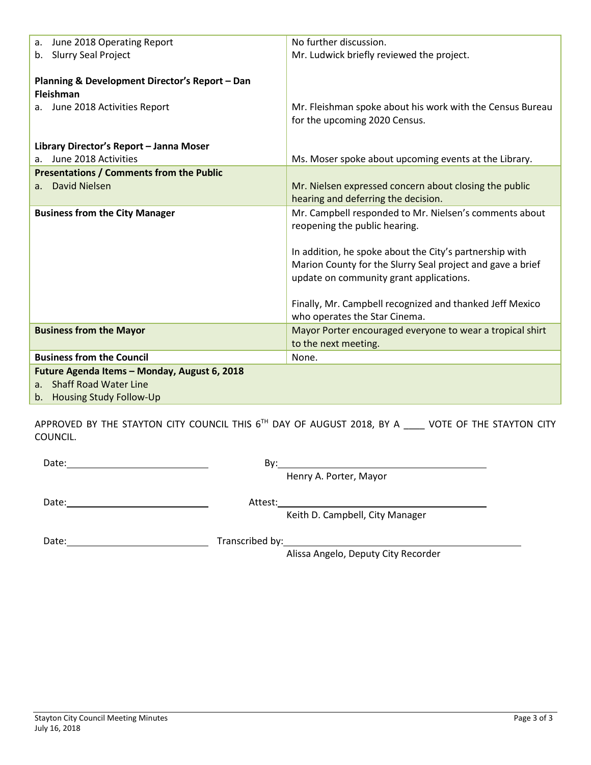| June 2018 Operating Report<br>a.                                                                                             | No further discussion.                                                                                                                                                                                                                                                                                                                                   |
|------------------------------------------------------------------------------------------------------------------------------|----------------------------------------------------------------------------------------------------------------------------------------------------------------------------------------------------------------------------------------------------------------------------------------------------------------------------------------------------------|
| b. Slurry Seal Project                                                                                                       | Mr. Ludwick briefly reviewed the project.                                                                                                                                                                                                                                                                                                                |
| Planning & Development Director's Report - Dan<br><b>Fleishman</b><br>June 2018 Activities Report<br>a.                      | Mr. Fleishman spoke about his work with the Census Bureau<br>for the upcoming 2020 Census.                                                                                                                                                                                                                                                               |
| Library Director's Report - Janna Moser                                                                                      |                                                                                                                                                                                                                                                                                                                                                          |
| June 2018 Activities<br>a.                                                                                                   | Ms. Moser spoke about upcoming events at the Library.                                                                                                                                                                                                                                                                                                    |
| <b>Presentations / Comments from the Public</b><br><b>David Nielsen</b><br>a <sub>1</sub>                                    | Mr. Nielsen expressed concern about closing the public<br>hearing and deferring the decision.                                                                                                                                                                                                                                                            |
| <b>Business from the City Manager</b>                                                                                        | Mr. Campbell responded to Mr. Nielsen's comments about<br>reopening the public hearing.<br>In addition, he spoke about the City's partnership with<br>Marion County for the Slurry Seal project and gave a brief<br>update on community grant applications.<br>Finally, Mr. Campbell recognized and thanked Jeff Mexico<br>who operates the Star Cinema. |
| <b>Business from the Mayor</b>                                                                                               | Mayor Porter encouraged everyone to wear a tropical shirt                                                                                                                                                                                                                                                                                                |
|                                                                                                                              | to the next meeting.                                                                                                                                                                                                                                                                                                                                     |
| <b>Business from the Council</b>                                                                                             | None.                                                                                                                                                                                                                                                                                                                                                    |
| Future Agenda Items - Monday, August 6, 2018<br><b>Shaff Road Water Line</b><br>a <sub>z</sub><br>b. Housing Study Follow-Up |                                                                                                                                                                                                                                                                                                                                                          |

APPROVED BY THE STAYTON CITY COUNCIL THIS 6<sup>TH</sup> DAY OF AUGUST 2018, BY A \_\_\_\_ VOTE OF THE STAYTON CITY COUNCIL.

Date: By:

Henry A. Porter, Mayor

Date: Attest:

Keith D. Campbell, City Manager

Date: Date: Date: Date: Date: Date: Date: Date: Date: Date: Date: Date: Date: Date: Date: Date: Date: Date: D

Alissa Angelo, Deputy City Recorder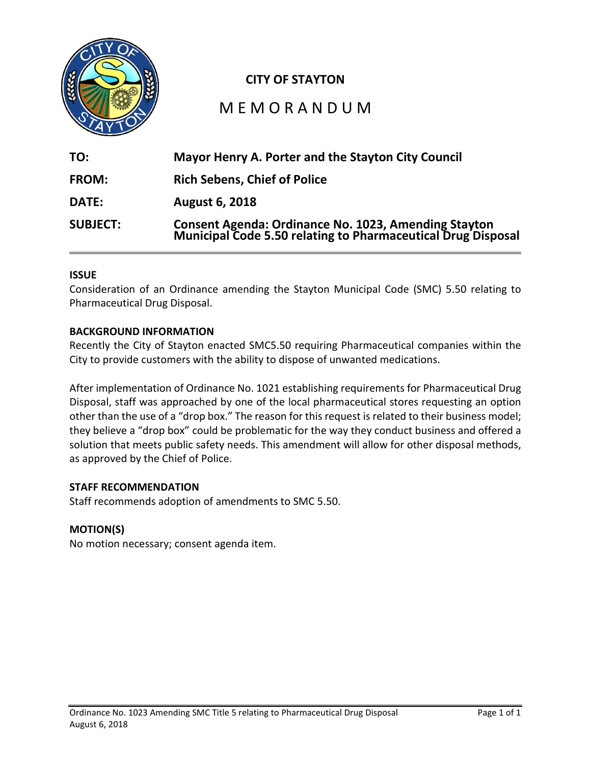

# **CITY OF STAYTON**

# M E M O R A N D U M

| TO:             | Mayor Henry A. Porter and the Stayton City Council                                                                           |
|-----------------|------------------------------------------------------------------------------------------------------------------------------|
| <b>FROM:</b>    | <b>Rich Sebens, Chief of Police</b>                                                                                          |
| <b>DATE:</b>    | <b>August 6, 2018</b>                                                                                                        |
| <b>SUBJECT:</b> | <b>Consent Agenda: Ordinance No. 1023, Amending Stayton<br/>Municipal Code 5.50 relating to Pharmaceutical Drug Disposal</b> |

### **ISSUE**

Consideration of an Ordinance amending the Stayton Municipal Code (SMC) 5.50 relating to Pharmaceutical Drug Disposal.

### **BACKGROUND INFORMATION**

Recently the City of Stayton enacted SMC5.50 requiring Pharmaceutical companies within the City to provide customers with the ability to dispose of unwanted medications.

After implementation of Ordinance No. 1021 establishing requirements for Pharmaceutical Drug Disposal, staff was approached by one of the local pharmaceutical stores requesting an option other than the use of a "drop box." The reason for this request is related to their business model; they believe a "drop box" could be problematic for the way they conduct business and offered a solution that meets public safety needs. This amendment will allow for other disposal methods, as approved by the Chief of Police.

### **STAFF RECOMMENDATION**

Staff recommends adoption of amendments to SMC 5.50.

### **MOTION(S)**

No motion necessary; consent agenda item.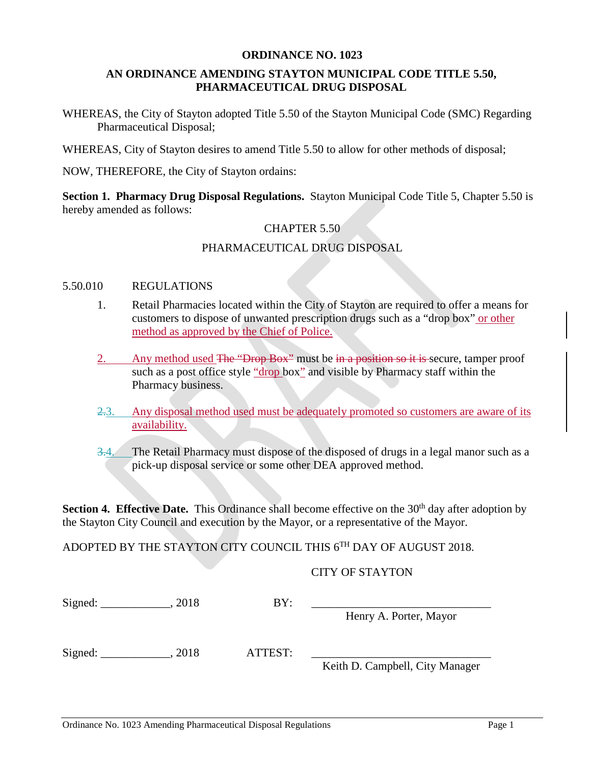### **ORDINANCE NO. 1023**

## **AN ORDINANCE AMENDING STAYTON MUNICIPAL CODE TITLE 5.50, PHARMACEUTICAL DRUG DISPOSAL**

WHEREAS, the City of Stayton adopted Title 5.50 of the Stayton Municipal Code (SMC) Regarding Pharmaceutical Disposal;

WHEREAS, City of Stayton desires to amend Title 5.50 to allow for other methods of disposal;

NOW, THEREFORE, the City of Stayton ordains:

**Section 1. Pharmacy Drug Disposal Regulations.** Stayton Municipal Code Title 5, Chapter 5.50 is hereby amended as follows:

## CHAPTER 5.50

## PHARMACEUTICAL DRUG DISPOSAL

### 5.50.010 REGULATIONS

- 1. Retail Pharmacies located within the City of Stayton are required to offer a means for customers to dispose of unwanted prescription drugs such as a "drop box" or other method as approved by the Chief of Police.
- 2. Any method used The "Drop Box" must be in a position so it is secure, tamper proof such as a post office style "drop box" and visible by Pharmacy staff within the Pharmacy business.
- 2.3. Any disposal method used must be adequately promoted so customers are aware of its availability.
- 3.4. The Retail Pharmacy must dispose of the disposed of drugs in a legal manor such as a pick-up disposal service or some other DEA approved method.

**Section 4. Effective Date.** This Ordinance shall become effective on the 30<sup>th</sup> day after adoption by the Stayton City Council and execution by the Mayor, or a representative of the Mayor.

ADOPTED BY THE STAYTON CITY COUNCIL THIS 6TH DAY OF AUGUST 2018.

### CITY OF STAYTON

| Signed: | 2018 | BY:     |                                 |
|---------|------|---------|---------------------------------|
|         |      |         | Henry A. Porter, Mayor          |
| Signed: | 2018 | ATTEST: |                                 |
|         |      |         | Keith D. Campbell, City Manager |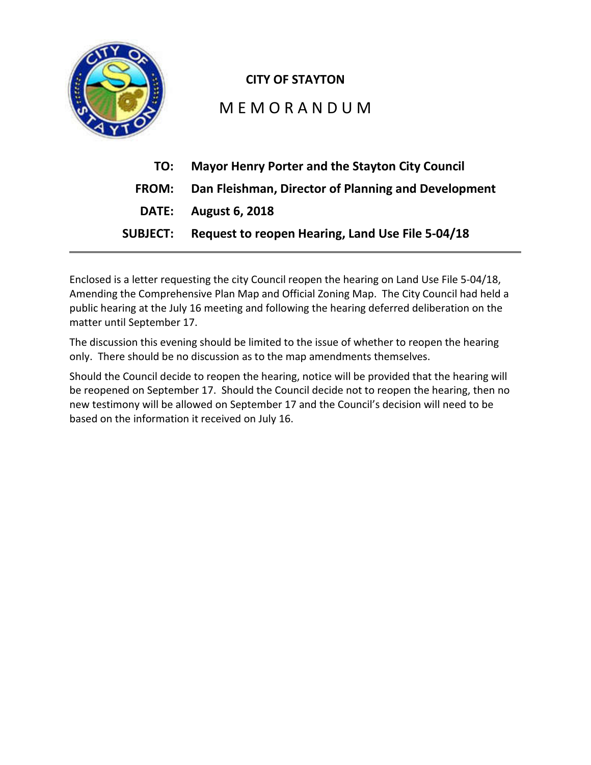

# **CITY OF STAYTON**

# M E M O R A N D U M

| TO:             | <b>Mayor Henry Porter and the Stayton City Council</b> |
|-----------------|--------------------------------------------------------|
| <b>FROM:</b>    | Dan Fleishman, Director of Planning and Development    |
|                 | <b>DATE:</b> August 6, 2018                            |
| <b>SUBJECT:</b> | Request to reopen Hearing, Land Use File 5-04/18       |

Enclosed is a letter requesting the city Council reopen the hearing on Land Use File 5-04/18, Amending the Comprehensive Plan Map and Official Zoning Map. The City Council had held a public hearing at the July 16 meeting and following the hearing deferred deliberation on the matter until September 17.

The discussion this evening should be limited to the issue of whether to reopen the hearing only. There should be no discussion as to the map amendments themselves.

Should the Council decide to reopen the hearing, notice will be provided that the hearing will be reopened on September 17. Should the Council decide not to reopen the hearing, then no new testimony will be allowed on September 17 and the Council's decision will need to be based on the information it received on July 16.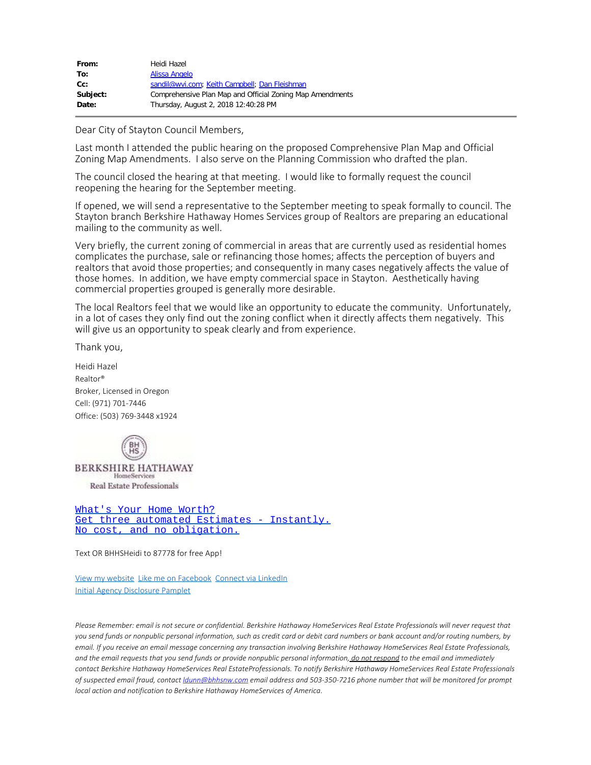| From:    | Heidi Hazel                                               |
|----------|-----------------------------------------------------------|
| To:      | Alissa Angelo                                             |
| cc:      | sandil@wvi.com; Keith Campbell; Dan Fleishman             |
| Subject: | Comprehensive Plan Map and Official Zoning Map Amendments |
| Date:    | Thursday, August 2, 2018 12:40:28 PM                      |
|          |                                                           |

Dear City of Stayton Council Members,

Last month I attended the public hearing on the proposed Comprehensive Plan Map and Official Zoning Map Amendments. I also serve on the Planning Commission who drafted the plan.

The council closed the hearing at that meeting. I would like to formally request the council reopening the hearing for the September meeting.

If opened, we will send a representative to the September meeting to speak formally to council. The Stayton branch Berkshire Hathaway Homes Services group of Realtors are preparing an educational mailing to the community as well.

Very briefly, the current zoning of commercial in areas that are currently used as residential homes complicates the purchase, sale or refinancing those homes; affects the perception of buyers and realtors that avoid those properties; and consequently in many cases negatively affects the value of those homes. In addition, we have empty commercial space in Stayton. Aesthetically having commercial properties grouped is generally more desirable.

The local Realtors feel that we would like an opportunity to educate the community. Unfortunately, in a lot of cases they only find out the zoning conflict when it directly affects them negatively. This will give us an opportunity to speak clearly and from experience.

Thank you,

Heidi Hazel Realtor® Broker, Licensed in Oregon Cell: (971) 701-7446 Office: (503) 769-3448 x1924



[What's Your Home Worth?](http://bhhsrep.findbuyers.com/heidihazel) [Get three automated Estimates - Instantly.](http://bhhsrep.findbuyers.com/heidihazel) [No cost, and no obligation.](http://bhhsrep.findbuyers.com/heidihazel)

Text OR BHHSHeidi to 87778 for free App!

[View my website](file:////c/hhazel.com) [Like me on Facebook](https://www.facebook.com/pages/Heidi-Hazel-Broker-Licensed-in-Oregon/435519656550219) [Connect via LinkedIn](http://www.linkedin.com/pub/heidi-hazel/88/241/580/) [Initial Agency Disclosure Pamplet](http://oregonrealtors.org/sites/default/files/Initial_Agency_Disclosure_Pamphlet.pdf)

Please Remember: email is not secure or confidential. Berkshire Hathaway HomeServices Real Estate Professionals will never request that you send funds or nonpublic personal information, such as credit card or debit card numbers or bank account and/or routing numbers, by email. If you receive an email message concerning any transaction involving Berkshire Hathaway HomeServices Real Estate Professionals, and the email requests that you send funds or provide nonpublic personal information, do not respond to the email and immediately contact Berkshire Hathaway HomeServices Real EstateProfessionals. To notify Berkshire Hathaway HomeServices Real Estate Professionals of suspected email fraud, contact *[dunn@bhhsnw.com* email address and 503-350-7216 phone number that will be monitored for prompt *local action and notification to Berkshire Hathaway HomeServices of America*.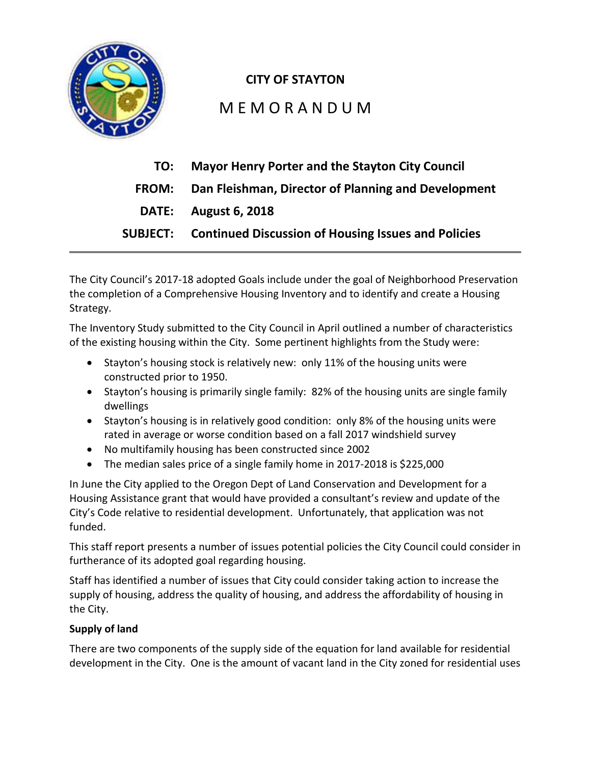

# **CITY OF STAYTON**

# M E M O R A N D U M

| TO:          | <b>Mayor Henry Porter and the Stayton City Council</b>              |
|--------------|---------------------------------------------------------------------|
| <b>FROM:</b> | Dan Fleishman, Director of Planning and Development                 |
|              | <b>DATE:</b> August 6, 2018                                         |
|              | <b>SUBJECT:</b> Continued Discussion of Housing Issues and Policies |

The City Council's 2017-18 adopted Goals include under the goal of Neighborhood Preservation the completion of a Comprehensive Housing Inventory and to identify and create a Housing Strategy.

The Inventory Study submitted to the City Council in April outlined a number of characteristics of the existing housing within the City. Some pertinent highlights from the Study were:

- Stayton's housing stock is relatively new: only 11% of the housing units were constructed prior to 1950.
- Stayton's housing is primarily single family: 82% of the housing units are single family dwellings
- Stayton's housing is in relatively good condition: only 8% of the housing units were rated in average or worse condition based on a fall 2017 windshield survey
- No multifamily housing has been constructed since 2002
- The median sales price of a single family home in 2017-2018 is \$225,000

In June the City applied to the Oregon Dept of Land Conservation and Development for a Housing Assistance grant that would have provided a consultant's review and update of the City's Code relative to residential development. Unfortunately, that application was not funded.

This staff report presents a number of issues potential policies the City Council could consider in furtherance of its adopted goal regarding housing.

Staff has identified a number of issues that City could consider taking action to increase the supply of housing, address the quality of housing, and address the affordability of housing in the City.

# **Supply of land**

There are two components of the supply side of the equation for land available for residential development in the City. One is the amount of vacant land in the City zoned for residential uses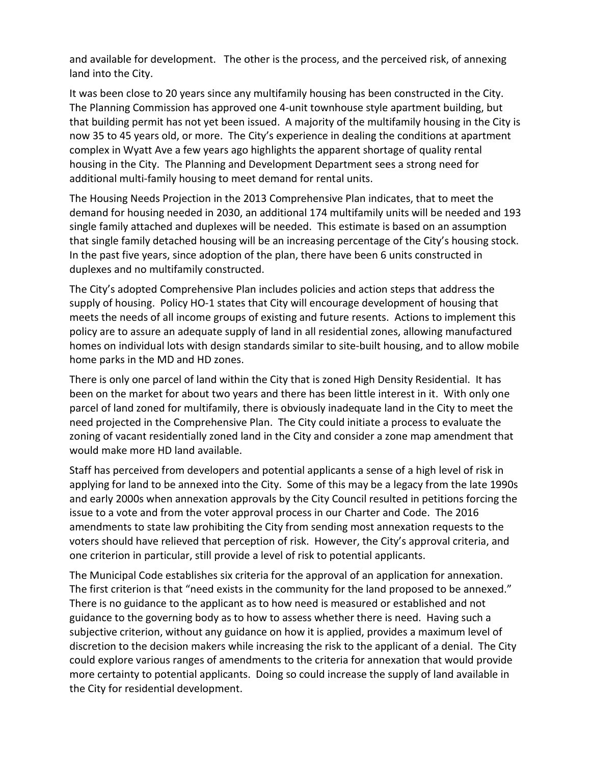and available for development. The other is the process, and the perceived risk, of annexing land into the City.

It was been close to 20 years since any multifamily housing has been constructed in the City. The Planning Commission has approved one 4-unit townhouse style apartment building, but that building permit has not yet been issued. A majority of the multifamily housing in the City is now 35 to 45 years old, or more. The City's experience in dealing the conditions at apartment complex in Wyatt Ave a few years ago highlights the apparent shortage of quality rental housing in the City. The Planning and Development Department sees a strong need for additional multi-family housing to meet demand for rental units.

The Housing Needs Projection in the 2013 Comprehensive Plan indicates, that to meet the demand for housing needed in 2030, an additional 174 multifamily units will be needed and 193 single family attached and duplexes will be needed. This estimate is based on an assumption that single family detached housing will be an increasing percentage of the City's housing stock. In the past five years, since adoption of the plan, there have been 6 units constructed in duplexes and no multifamily constructed.

The City's adopted Comprehensive Plan includes policies and action steps that address the supply of housing. Policy HO-1 states that City will encourage development of housing that meets the needs of all income groups of existing and future resents. Actions to implement this policy are to assure an adequate supply of land in all residential zones, allowing manufactured homes on individual lots with design standards similar to site-built housing, and to allow mobile home parks in the MD and HD zones.

There is only one parcel of land within the City that is zoned High Density Residential. It has been on the market for about two years and there has been little interest in it. With only one parcel of land zoned for multifamily, there is obviously inadequate land in the City to meet the need projected in the Comprehensive Plan. The City could initiate a process to evaluate the zoning of vacant residentially zoned land in the City and consider a zone map amendment that would make more HD land available.

Staff has perceived from developers and potential applicants a sense of a high level of risk in applying for land to be annexed into the City. Some of this may be a legacy from the late 1990s and early 2000s when annexation approvals by the City Council resulted in petitions forcing the issue to a vote and from the voter approval process in our Charter and Code. The 2016 amendments to state law prohibiting the City from sending most annexation requests to the voters should have relieved that perception of risk. However, the City's approval criteria, and one criterion in particular, still provide a level of risk to potential applicants.

The Municipal Code establishes six criteria for the approval of an application for annexation. The first criterion is that "need exists in the community for the land proposed to be annexed." There is no guidance to the applicant as to how need is measured or established and not guidance to the governing body as to how to assess whether there is need. Having such a subjective criterion, without any guidance on how it is applied, provides a maximum level of discretion to the decision makers while increasing the risk to the applicant of a denial. The City could explore various ranges of amendments to the criteria for annexation that would provide more certainty to potential applicants. Doing so could increase the supply of land available in the City for residential development.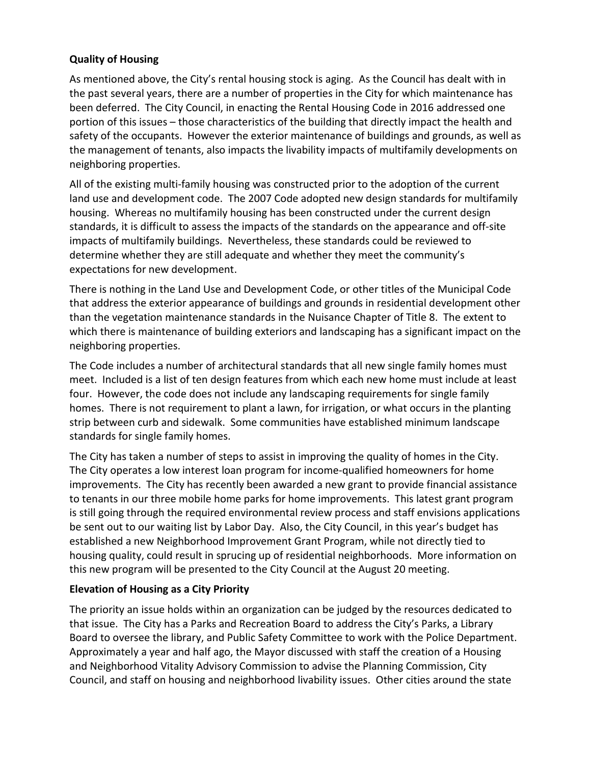# **Quality of Housing**

As mentioned above, the City's rental housing stock is aging. As the Council has dealt with in the past several years, there are a number of properties in the City for which maintenance has been deferred. The City Council, in enacting the Rental Housing Code in 2016 addressed one portion of this issues – those characteristics of the building that directly impact the health and safety of the occupants. However the exterior maintenance of buildings and grounds, as well as the management of tenants, also impacts the livability impacts of multifamily developments on neighboring properties.

All of the existing multi-family housing was constructed prior to the adoption of the current land use and development code. The 2007 Code adopted new design standards for multifamily housing. Whereas no multifamily housing has been constructed under the current design standards, it is difficult to assess the impacts of the standards on the appearance and off-site impacts of multifamily buildings. Nevertheless, these standards could be reviewed to determine whether they are still adequate and whether they meet the community's expectations for new development.

There is nothing in the Land Use and Development Code, or other titles of the Municipal Code that address the exterior appearance of buildings and grounds in residential development other than the vegetation maintenance standards in the Nuisance Chapter of Title 8. The extent to which there is maintenance of building exteriors and landscaping has a significant impact on the neighboring properties.

The Code includes a number of architectural standards that all new single family homes must meet. Included is a list of ten design features from which each new home must include at least four. However, the code does not include any landscaping requirements for single family homes. There is not requirement to plant a lawn, for irrigation, or what occurs in the planting strip between curb and sidewalk. Some communities have established minimum landscape standards for single family homes.

The City has taken a number of steps to assist in improving the quality of homes in the City. The City operates a low interest loan program for income-qualified homeowners for home improvements. The City has recently been awarded a new grant to provide financial assistance to tenants in our three mobile home parks for home improvements. This latest grant program is still going through the required environmental review process and staff envisions applications be sent out to our waiting list by Labor Day. Also, the City Council, in this year's budget has established a new Neighborhood Improvement Grant Program, while not directly tied to housing quality, could result in sprucing up of residential neighborhoods. More information on this new program will be presented to the City Council at the August 20 meeting.

# **Elevation of Housing as a City Priority**

The priority an issue holds within an organization can be judged by the resources dedicated to that issue. The City has a Parks and Recreation Board to address the City's Parks, a Library Board to oversee the library, and Public Safety Committee to work with the Police Department. Approximately a year and half ago, the Mayor discussed with staff the creation of a Housing and Neighborhood Vitality Advisory Commission to advise the Planning Commission, City Council, and staff on housing and neighborhood livability issues. Other cities around the state